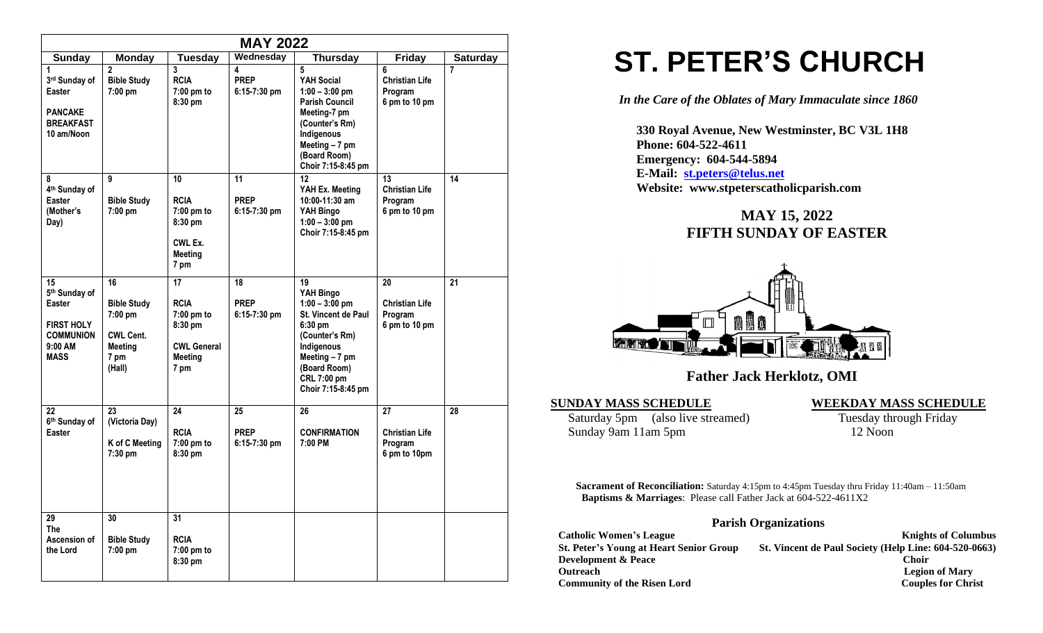|                                                                                                              |                                                                                             |                                                                                     | <b>MAY 2022</b>                     |                                                                                                                                                                              |                                                         |                 |
|--------------------------------------------------------------------------------------------------------------|---------------------------------------------------------------------------------------------|-------------------------------------------------------------------------------------|-------------------------------------|------------------------------------------------------------------------------------------------------------------------------------------------------------------------------|---------------------------------------------------------|-----------------|
| <b>Sunday</b>                                                                                                | <b>Monday</b>                                                                               | Tuesday                                                                             | Wednesday                           | <b>Thursday</b>                                                                                                                                                              | <b>Friday</b>                                           | <b>Saturday</b> |
| 1<br>3rd Sunday of<br>Easter<br><b>PANCAKE</b><br><b>BREAKFAST</b><br>10 am/Noon                             | $\overline{2}$<br><b>Bible Study</b><br>7:00 pm                                             | 3<br><b>RCIA</b><br>7:00 pm to<br>8:30 pm                                           | 4<br><b>PREP</b><br>$6:15-7:30$ pm  | 5<br>YAH Social<br>$1:00 - 3:00$ pm<br><b>Parish Council</b><br>Meeting-7 pm<br>(Counter's Rm)<br>Indigenous<br>Meeting $-7$ pm<br>(Board Room)<br>Choir 7:15-8:45 pm        | 6<br><b>Christian Life</b><br>Program<br>6 pm to 10 pm  | $\overline{7}$  |
| 8<br>4 <sup>th</sup> Sunday of<br><b>Easter</b><br>(Mother's<br>Day)                                         | 9<br><b>Bible Study</b><br>7:00 pm                                                          | 10<br><b>RCIA</b><br>7:00 pm to<br>8:30 pm<br>CWL Ex.<br>Meeting<br>7 pm            | 11<br><b>PREP</b><br>$6:15-7:30$ pm | $12 \,$<br>YAH Ex. Meeting<br>10:00-11:30 am<br>YAH Bingo<br>$1:00 - 3:00$ pm<br>Choir 7:15-8:45 pm                                                                          | 13<br><b>Christian Life</b><br>Program<br>6 pm to 10 pm | 14              |
| 15<br>5 <sup>th</sup> Sunday of<br>Easter<br><b>FIRST HOLY</b><br><b>COMMUNION</b><br>9:00 AM<br><b>MASS</b> | 16<br><b>Bible Study</b><br>7:00 pm<br><b>CWL Cent.</b><br><b>Meeting</b><br>7 pm<br>(Hall) | 17<br><b>RCIA</b><br>7:00 pm to<br>8:30 pm<br><b>CWL General</b><br>Meeting<br>7 pm | 18<br><b>PREP</b><br>$6:15-7:30$ pm | 19<br>YAH Bingo<br>$1:00 - 3:00$ pm<br>St. Vincent de Paul<br>6:30 pm<br>(Counter's Rm)<br>Indigenous<br>Meeting - 7 pm<br>(Board Room)<br>CRL 7:00 pm<br>Choir 7:15-8:45 pm | 20<br><b>Christian Life</b><br>Program<br>6 pm to 10 pm | 21              |
| 22<br>6th Sunday of<br><b>Easter</b>                                                                         | 23<br>(Victoria Day)<br>K of C Meeting<br>7:30 pm                                           | 24<br><b>RCIA</b><br>7:00 pm to<br>8:30 pm                                          | 25<br><b>PREP</b><br>$6:15-7:30$ pm | 26<br><b>CONFIRMATION</b><br>7:00 PM                                                                                                                                         | 27<br><b>Christian Life</b><br>Program<br>6 pm to 10pm  | 28              |
| 29<br><b>The</b><br>Ascension of<br>the Lord                                                                 | 30<br><b>Bible Study</b><br>7:00 pm                                                         | $\overline{31}$<br><b>RCIA</b><br>7:00 pm to<br>8:30 pm                             |                                     |                                                                                                                                                                              |                                                         |                 |

# **ST. PETER'S CHURCH**

*In the Care of the Oblates of Mary Immaculate since 1860*

 **330 Royal Avenue, New Westminster, BC V3L 1H8 Phone: 604-522-4611 Emergency: 604-544-5894 E-Mail: [st.peters@telus.net](mailto:st.peters@telus.net) Website: www.stpeterscatholicparish.com**

# **MAY 15, 2022 FIFTH SUNDAY OF EASTER**



# **Father Jack Herklotz, OMI**

#### **SUNDAY MASS SCHEDULE WEEKDAY MASS SCHEDULE**

Saturday 5pm (also live streamed) Tuesday through Friday Sunday 9am 11am 5pm 12 Noon

**Sacrament of Reconciliation:** Saturday 4:15pm to 4:45pm Tuesday thru Friday 11:40am – 11:50am  **Baptisms & Marriages**: Please call Father Jack at 604-522-4611X2

### **Parish Organizations**

| <b>Catholic Women's League</b>                 | <b>Knights of Columbus</b>                            |
|------------------------------------------------|-------------------------------------------------------|
| <b>St. Peter's Young at Heart Senior Group</b> | St. Vincent de Paul Society (Help Line: 604-520-0663) |
| <b>Development &amp; Peace</b>                 | <b>Choir</b>                                          |
| <b>Outreach</b>                                | <b>Legion of Mary</b>                                 |
| <b>Community of the Risen Lord</b>             | <b>Couples for Christ</b>                             |